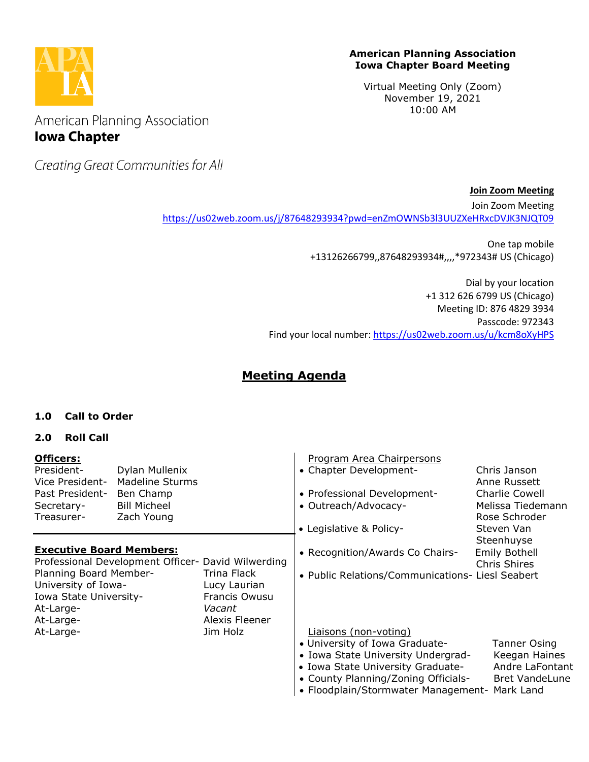

#### **American Planning Association Iowa Chapter Board Meeting**

Virtual Meeting Only (Zoom) November 19, 2021 10:00 AM

American Planning Association **Iowa Chapter** 

Creating Great Communities for All

**Join Zoom Meeting**

Join Zoom Meeting <https://us02web.zoom.us/j/87648293934?pwd=enZmOWNSb3l3UUZXeHRxcDVJK3NJQT09>

> One tap mobile +13126266799,,87648293934#,,,,\*972343# US (Chicago)

Dial by your location +1 312 626 6799 US (Chicago) Meeting ID: 876 4829 3934 Passcode: 972343 Find your local number:<https://us02web.zoom.us/u/kcm8oXyHPS>

# **Meeting Agenda**

# **1.0 Call to Order**

# **2.0 Roll Call**

| <b>Officers:</b><br>President-<br>Vice President-<br>Past President-<br>Secretary-<br>Treasurer-  | Dylan Mullenix<br><b>Madeline Sturms</b><br>Ben Champ<br><b>Bill Micheel</b><br>Zach Young |                                                                          | Program Area Chairpersons<br>• Chapter Development-<br>• Professional Development-<br>• Outreach/Advocacy-                                                                                                                 | Chris Janson<br>Anne Russett<br><b>Charlie Cowell</b><br>Melissa Tiedemann<br>Rose Schroder |
|---------------------------------------------------------------------------------------------------|--------------------------------------------------------------------------------------------|--------------------------------------------------------------------------|----------------------------------------------------------------------------------------------------------------------------------------------------------------------------------------------------------------------------|---------------------------------------------------------------------------------------------|
|                                                                                                   |                                                                                            |                                                                          | • Legislative & Policy-                                                                                                                                                                                                    | Steven Van<br>Steenhuyse                                                                    |
| <b>Executive Board Members:</b><br>Professional Development Officer- David Wilwerding             |                                                                                            |                                                                          | • Recognition/Awards Co Chairs-                                                                                                                                                                                            | <b>Emily Bothell</b><br><b>Chris Shires</b>                                                 |
| Planning Board Member-<br>University of Iowa-<br>Iowa State University-<br>At-Large-<br>At-Large- |                                                                                            | Trina Flack<br>Lucy Laurian<br>Francis Owusu<br>Vacant<br>Alexis Fleener | • Public Relations/Communications- Liesl Seabert                                                                                                                                                                           |                                                                                             |
| At-Large-                                                                                         |                                                                                            | Jim Holz                                                                 | Liaisons (non-voting)<br>• University of Iowa Graduate-<br>• Iowa State University Undergrad-<br>• Iowa State University Graduate-<br>• County Planning/Zoning Officials-<br>• Floodplain/Stormwater Management- Mark Land | Tanner Osing<br>Keegan Haines<br>Andre LaFontant<br><b>Bret VandeLune</b>                   |